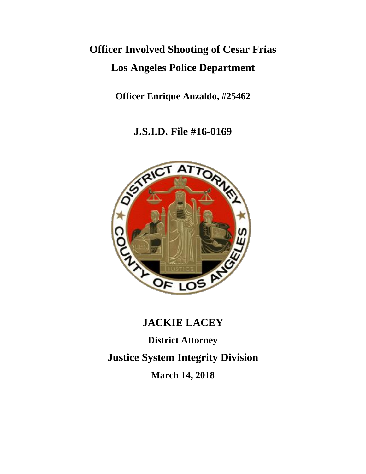# **Officer Involved Shooting of Cesar Frias Los Angeles Police Department**

**Officer Enrique Anzaldo, #25462**

**J.S.I.D. File #16-0169**



# **JACKIE LACEY District Attorney Justice System Integrity Division March 14, 2018**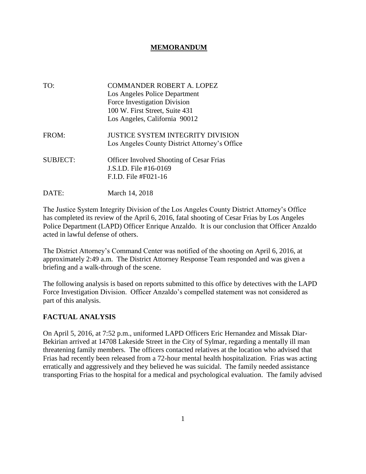# **MEMORANDUM**

- TO: COMMANDER ROBERT A. LOPEZ Los Angeles Police Department Force Investigation Division 100 W. First Street, Suite 431 Los Angeles, California 90012 FROM: JUSTICE SYSTEM INTEGRITY DIVISION Los Angeles County District Attorney's Office SUBJECT: Officer Involved Shooting of Cesar Frias J.S.I.D. File #16-0169 F.I.D. File #F021-16
- DATE: March 14, 2018

The Justice System Integrity Division of the Los Angeles County District Attorney's Office has completed its review of the April 6, 2016, fatal shooting of Cesar Frias by Los Angeles Police Department (LAPD) Officer Enrique Anzaldo. It is our conclusion that Officer Anzaldo acted in lawful defense of others.

The District Attorney's Command Center was notified of the shooting on April 6, 2016, at approximately 2:49 a.m. The District Attorney Response Team responded and was given a briefing and a walk-through of the scene.

The following analysis is based on reports submitted to this office by detectives with the LAPD Force Investigation Division. Officer Anzaldo's compelled statement was not considered as part of this analysis.

# **FACTUAL ANALYSIS**

On April 5, 2016, at 7:52 p.m., uniformed LAPD Officers Eric Hernandez and Missak Diar-Bekirian arrived at 14708 Lakeside Street in the City of Sylmar, regarding a mentally ill man threatening family members. The officers contacted relatives at the location who advised that Frias had recently been released from a 72-hour mental health hospitalization. Frias was acting erratically and aggressively and they believed he was suicidal. The family needed assistance transporting Frias to the hospital for a medical and psychological evaluation. The family advised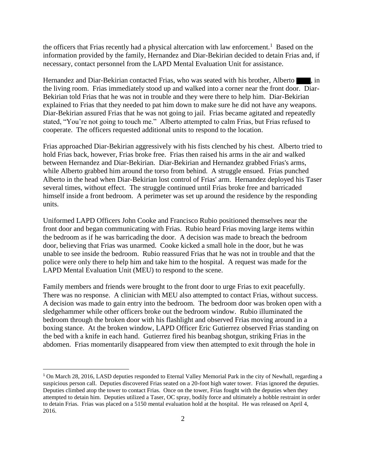the officers that Frias recently had a physical altercation with law enforcement.<sup>1</sup> Based on the information provided by the family, Hernandez and Diar-Bekirian decided to detain Frias and, if necessary, contact personnel from the LAPD Mental Evaluation Unit for assistance.

Hernandez and Diar-Bekirian contacted Frias, who was seated with his brother, Alberto , in the living room. Frias immediately stood up and walked into a corner near the front door. Diar-Bekirian told Frias that he was not in trouble and they were there to help him. Diar-Bekirian explained to Frias that they needed to pat him down to make sure he did not have any weapons. Diar-Bekirian assured Frias that he was not going to jail. Frias became agitated and repeatedly stated, "You're not going to touch me." Alberto attempted to calm Frias, but Frias refused to cooperate. The officers requested additional units to respond to the location.

Frias approached Diar-Bekirian aggressively with his fists clenched by his chest. Alberto tried to hold Frias back, however, Frias broke free. Frias then raised his arms in the air and walked between Hernandez and Diar-Bekirian. Diar-Bekirian and Hernandez grabbed Frias's arms, while Alberto grabbed him around the torso from behind. A struggle ensued. Frias punched Alberto in the head when Diar-Bekirian lost control of Frias' arm. Hernandez deployed his Taser several times, without effect. The struggle continued until Frias broke free and barricaded himself inside a front bedroom. A perimeter was set up around the residence by the responding units.

Uniformed LAPD Officers John Cooke and Francisco Rubio positioned themselves near the front door and began communicating with Frias. Rubio heard Frias moving large items within the bedroom as if he was barricading the door. A decision was made to breach the bedroom door, believing that Frias was unarmed. Cooke kicked a small hole in the door, but he was unable to see inside the bedroom. Rubio reassured Frias that he was not in trouble and that the police were only there to help him and take him to the hospital. A request was made for the LAPD Mental Evaluation Unit (MEU) to respond to the scene.

Family members and friends were brought to the front door to urge Frias to exit peacefully. There was no response. A clinician with MEU also attempted to contact Frias, without success. A decision was made to gain entry into the bedroom. The bedroom door was broken open with a sledgehammer while other officers broke out the bedroom window. Rubio illuminated the bedroom through the broken door with his flashlight and observed Frias moving around in a boxing stance. At the broken window, LAPD Officer Eric Gutierrez observed Frias standing on the bed with a knife in each hand. Gutierrez fired his beanbag shotgun, striking Frias in the abdomen. Frias momentarily disappeared from view then attempted to exit through the hole in

<sup>1</sup> On March 28, 2016, LASD deputies responded to Eternal Valley Memorial Park in the city of Newhall, regarding a suspicious person call. Deputies discovered Frias seated on a 20-foot high water tower. Frias ignored the deputies. Deputies climbed atop the tower to contact Frias. Once on the tower, Frias fought with the deputies when they attempted to detain him. Deputies utilized a Taser, OC spray, bodily force and ultimately a hobble restraint in order to detain Frias. Frias was placed on a 5150 mental evaluation hold at the hospital. He was released on April 4, 2016.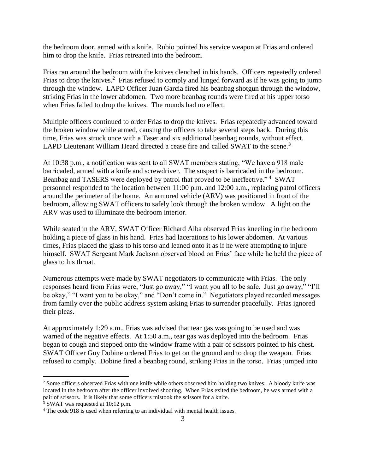the bedroom door, armed with a knife. Rubio pointed his service weapon at Frias and ordered him to drop the knife. Frias retreated into the bedroom.

Frias ran around the bedroom with the knives clenched in his hands. Officers repeatedly ordered Frias to drop the knives.<sup>2</sup> Frias refused to comply and lunged forward as if he was going to jump through the window. LAPD Officer Juan Garcia fired his beanbag shotgun through the window, striking Frias in the lower abdomen. Two more beanbag rounds were fired at his upper torso when Frias failed to drop the knives. The rounds had no effect.

Multiple officers continued to order Frias to drop the knives. Frias repeatedly advanced toward the broken window while armed, causing the officers to take several steps back. During this time, Frias was struck once with a Taser and six additional beanbag rounds, without effect. LAPD Lieutenant William Heard directed a cease fire and called SWAT to the scene.<sup>3</sup>

At 10:38 p.m., a notification was sent to all SWAT members stating, "We have a 918 male barricaded, armed with a knife and screwdriver. The suspect is barricaded in the bedroom. Beanbag and TASERS were deployed by patrol that proved to be ineffective."<sup>4</sup> SWAT personnel responded to the location between 11:00 p.m. and 12:00 a.m., replacing patrol officers around the perimeter of the home. An armored vehicle (ARV) was positioned in front of the bedroom, allowing SWAT officers to safely look through the broken window. A light on the ARV was used to illuminate the bedroom interior.

While seated in the ARV, SWAT Officer Richard Alba observed Frias kneeling in the bedroom holding a piece of glass in his hand. Frias had lacerations to his lower abdomen. At various times, Frias placed the glass to his torso and leaned onto it as if he were attempting to injure himself. SWAT Sergeant Mark Jackson observed blood on Frias' face while he held the piece of glass to his throat.

Numerous attempts were made by SWAT negotiators to communicate with Frias. The only responses heard from Frias were, "Just go away," "I want you all to be safe. Just go away," "I'll be okay," "I want you to be okay," and "Don't come in." Negotiators played recorded messages from family over the public address system asking Frias to surrender peacefully. Frias ignored their pleas.

At approximately 1:29 a.m., Frias was advised that tear gas was going to be used and was warned of the negative effects. At 1:50 a.m., tear gas was deployed into the bedroom. Frias began to cough and stepped onto the window frame with a pair of scissors pointed to his chest. SWAT Officer Guy Dobine ordered Frias to get on the ground and to drop the weapon. Frias refused to comply. Dobine fired a beanbag round, striking Frias in the torso. Frias jumped into

 $3$  SWAT was requested at 10:12 p.m.

 $\overline{a}$ 

<sup>&</sup>lt;sup>2</sup> Some officers observed Frias with one knife while others observed him holding two knives. A bloody knife was located in the bedroom after the officer involved shooting. When Frias exited the bedroom, he was armed with a pair of scissors. It is likely that some officers mistook the scissors for a knife.

<sup>4</sup> The code 918 is used when referring to an individual with mental health issues.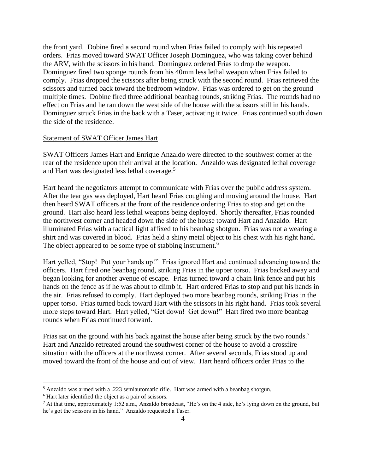the front yard. Dobine fired a second round when Frias failed to comply with his repeated orders. Frias moved toward SWAT Officer Joseph Dominguez, who was taking cover behind the ARV, with the scissors in his hand. Dominguez ordered Frias to drop the weapon. Dominguez fired two sponge rounds from his 40mm less lethal weapon when Frias failed to comply. Frias dropped the scissors after being struck with the second round. Frias retrieved the scissors and turned back toward the bedroom window. Frias was ordered to get on the ground multiple times. Dobine fired three additional beanbag rounds, striking Frias. The rounds had no effect on Frias and he ran down the west side of the house with the scissors still in his hands. Dominguez struck Frias in the back with a Taser, activating it twice. Frias continued south down the side of the residence.

#### Statement of SWAT Officer James Hart

SWAT Officers James Hart and Enrique Anzaldo were directed to the southwest corner at the rear of the residence upon their arrival at the location. Anzaldo was designated lethal coverage and Hart was designated less lethal coverage.<sup>5</sup>

Hart heard the negotiators attempt to communicate with Frias over the public address system. After the tear gas was deployed, Hart heard Frias coughing and moving around the house. Hart then heard SWAT officers at the front of the residence ordering Frias to stop and get on the ground. Hart also heard less lethal weapons being deployed. Shortly thereafter, Frias rounded the northwest corner and headed down the side of the house toward Hart and Anzaldo. Hart illuminated Frias with a tactical light affixed to his beanbag shotgun. Frias was not a wearing a shirt and was covered in blood. Frias held a shiny metal object to his chest with his right hand. The object appeared to be some type of stabbing instrument.<sup>6</sup>

Hart yelled, "Stop! Put your hands up!" Frias ignored Hart and continued advancing toward the officers. Hart fired one beanbag round, striking Frias in the upper torso. Frias backed away and began looking for another avenue of escape. Frias turned toward a chain link fence and put his hands on the fence as if he was about to climb it. Hart ordered Frias to stop and put his hands in the air. Frias refused to comply. Hart deployed two more beanbag rounds, striking Frias in the upper torso. Frias turned back toward Hart with the scissors in his right hand. Frias took several more steps toward Hart. Hart yelled, "Get down! Get down!" Hart fired two more beanbag rounds when Frias continued forward.

Frias sat on the ground with his back against the house after being struck by the two rounds.<sup>7</sup> Hart and Anzaldo retreated around the southwest corner of the house to avoid a crossfire situation with the officers at the northwest corner. After several seconds, Frias stood up and moved toward the front of the house and out of view. Hart heard officers order Frias to the

 $\overline{a}$ 

<sup>5</sup> Anzaldo was armed with a .223 semiautomatic rifle. Hart was armed with a beanbag shotgun.

<sup>6</sup> Hart later identified the object as a pair of scissors.

<sup>7</sup> At that time, approximately 1:52 a.m., Anzaldo broadcast, "He's on the 4 side, he's lying down on the ground, but he's got the scissors in his hand." Anzaldo requested a Taser.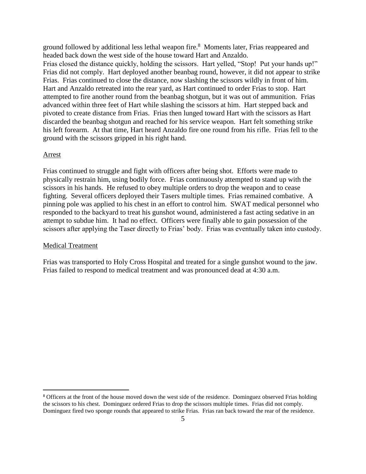ground followed by additional less lethal weapon fire.<sup>8</sup> Moments later, Frias reappeared and headed back down the west side of the house toward Hart and Anzaldo.

Frias closed the distance quickly, holding the scissors. Hart yelled, "Stop! Put your hands up!" Frias did not comply. Hart deployed another beanbag round, however, it did not appear to strike Frias. Frias continued to close the distance, now slashing the scissors wildly in front of him. Hart and Anzaldo retreated into the rear yard, as Hart continued to order Frias to stop. Hart attempted to fire another round from the beanbag shotgun, but it was out of ammunition. Frias advanced within three feet of Hart while slashing the scissors at him. Hart stepped back and pivoted to create distance from Frias. Frias then lunged toward Hart with the scissors as Hart discarded the beanbag shotgun and reached for his service weapon. Hart felt something strike his left forearm. At that time, Hart heard Anzaldo fire one round from his rifle. Frias fell to the ground with the scissors gripped in his right hand.

#### Arrest

 $\overline{a}$ 

Frias continued to struggle and fight with officers after being shot. Efforts were made to physically restrain him, using bodily force. Frias continuously attempted to stand up with the scissors in his hands. He refused to obey multiple orders to drop the weapon and to cease fighting. Several officers deployed their Tasers multiple times. Frias remained combative. A pinning pole was applied to his chest in an effort to control him. SWAT medical personnel who responded to the backyard to treat his gunshot wound, administered a fast acting sedative in an attempt to subdue him. It had no effect. Officers were finally able to gain possession of the scissors after applying the Taser directly to Frias' body. Frias was eventually taken into custody.

#### Medical Treatment

Frias was transported to Holy Cross Hospital and treated for a single gunshot wound to the jaw. Frias failed to respond to medical treatment and was pronounced dead at 4:30 a.m.

<sup>&</sup>lt;sup>8</sup> Officers at the front of the house moved down the west side of the residence. Dominguez observed Frias holding the scissors to his chest. Dominguez ordered Frias to drop the scissors multiple times. Frias did not comply. Dominguez fired two sponge rounds that appeared to strike Frias. Frias ran back toward the rear of the residence.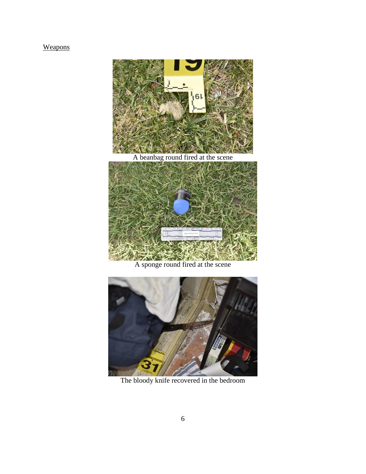# **Weapons**



A beanbag round fired at the scene



A sponge round fired at the scene



The bloody knife recovered in the bedroom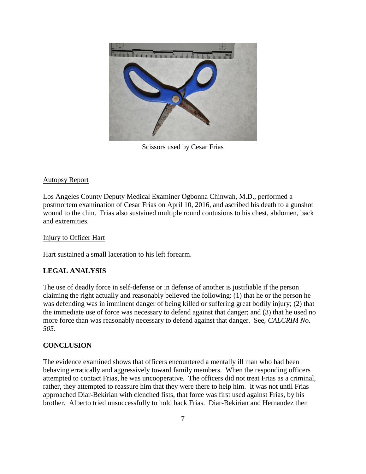

Scissors used by Cesar Frias

# Autopsy Report

Los Angeles County Deputy Medical Examiner Ogbonna Chinwah, M.D., performed a postmortem examination of Cesar Frias on April 10, 2016, and ascribed his death to a gunshot wound to the chin. Frias also sustained multiple round contusions to his chest, abdomen, back and extremities.

# Injury to Officer Hart

Hart sustained a small laceration to his left forearm.

# **LEGAL ANALYSIS**

The use of deadly force in self-defense or in defense of another is justifiable if the person claiming the right actually and reasonably believed the following: (1) that he or the person he was defending was in imminent danger of being killed or suffering great bodily injury; (2) that the immediate use of force was necessary to defend against that danger; and (3) that he used no more force than was reasonably necessary to defend against that danger. See, *CALCRIM No. 505*.

# **CONCLUSION**

The evidence examined shows that officers encountered a mentally ill man who had been behaving erratically and aggressively toward family members. When the responding officers attempted to contact Frias, he was uncooperative. The officers did not treat Frias as a criminal, rather, they attempted to reassure him that they were there to help him. It was not until Frias approached Diar-Bekirian with clenched fists, that force was first used against Frias, by his brother. Alberto tried unsuccessfully to hold back Frias. Diar-Bekirian and Hernandez then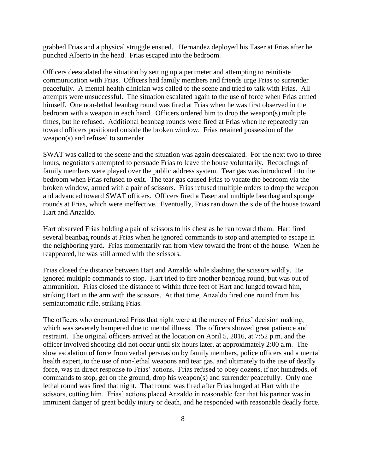grabbed Frias and a physical struggle ensued. Hernandez deployed his Taser at Frias after he punched Alberto in the head. Frias escaped into the bedroom.

Officers deescalated the situation by setting up a perimeter and attempting to reinitiate communication with Frias. Officers had family members and friends urge Frias to surrender peacefully. A mental health clinician was called to the scene and tried to talk with Frias. All attempts were unsuccessful. The situation escalated again to the use of force when Frias armed himself. One non-lethal beanbag round was fired at Frias when he was first observed in the bedroom with a weapon in each hand. Officers ordered him to drop the weapon(s) multiple times, but he refused. Additional beanbag rounds were fired at Frias when he repeatedly ran toward officers positioned outside the broken window. Frias retained possession of the weapon(s) and refused to surrender.

SWAT was called to the scene and the situation was again deescalated. For the next two to three hours, negotiators attempted to persuade Frias to leave the house voluntarily. Recordings of family members were played over the public address system. Tear gas was introduced into the bedroom when Frias refused to exit. The tear gas caused Frias to vacate the bedroom via the broken window, armed with a pair of scissors. Frias refused multiple orders to drop the weapon and advanced toward SWAT officers. Officers fired a Taser and multiple beanbag and sponge rounds at Frias, which were ineffective. Eventually, Frias ran down the side of the house toward Hart and Anzaldo.

Hart observed Frias holding a pair of scissors to his chest as he ran toward them. Hart fired several beanbag rounds at Frias when he ignored commands to stop and attempted to escape in the neighboring yard. Frias momentarily ran from view toward the front of the house. When he reappeared, he was still armed with the scissors.

Frias closed the distance between Hart and Anzaldo while slashing the scissors wildly. He ignored multiple commands to stop. Hart tried to fire another beanbag round, but was out of ammunition. Frias closed the distance to within three feet of Hart and lunged toward him, striking Hart in the arm with the scissors. At that time, Anzaldo fired one round from his semiautomatic rifle, striking Frias.

The officers who encountered Frias that night were at the mercy of Frias' decision making, which was severely hampered due to mental illness. The officers showed great patience and restraint. The original officers arrived at the location on April 5, 2016, at 7:52 p.m. and the officer involved shooting did not occur until six hours later, at approximately 2:00 a.m. The slow escalation of force from verbal persuasion by family members, police officers and a mental health expert, to the use of non-lethal weapons and tear gas, and ultimately to the use of deadly force, was in direct response to Frias' actions. Frias refused to obey dozens, if not hundreds, of commands to stop, get on the ground, drop his weapon(s) and surrender peacefully. Only one lethal round was fired that night. That round was fired after Frias lunged at Hart with the scissors, cutting him. Frias' actions placed Anzaldo in reasonable fear that his partner was in imminent danger of great bodily injury or death, and he responded with reasonable deadly force.